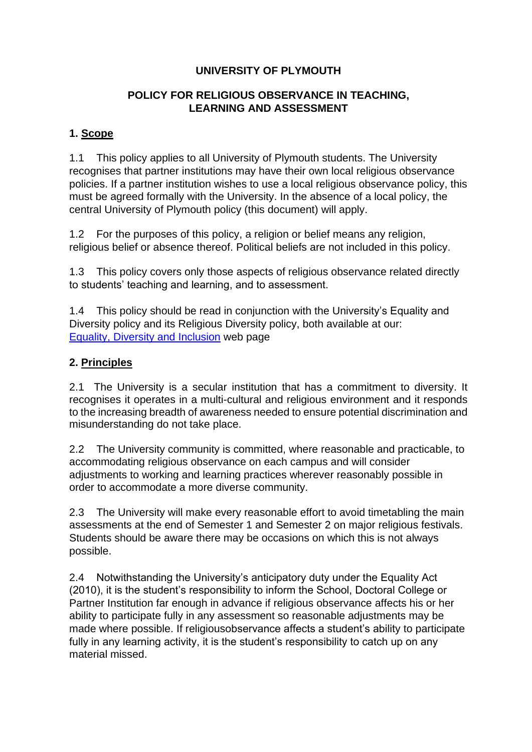# **UNIVERSITY OF PLYMOUTH**

# **POLICY FOR RELIGIOUS OBSERVANCE IN TEACHING, LEARNING AND ASSESSMENT**

### **1. Scope**

1.1 This policy applies to all University of Plymouth students. The University recognises that partner institutions may have their own local religious observance policies. If a partner institution wishes to use a local religious observance policy, this must be agreed formally with the University. In the absence of a local policy, the central University of Plymouth policy (this document) will apply.

1.2 For the purposes of this policy, a religion or belief means any religion, religious belief or absence thereof. Political beliefs are not included in this policy.

1.3 This policy covers only those aspects of religious observance related directly to students' teaching and learning, and to assessment.

1.4 This policy should be read in conjunction with the University's Equality and Diversity policy and its Religious Diversity policy, both available at our: [Equality, Diversity and Inclusion](https://www.plymouth.ac.uk/about-us/university-structure/service-areas/equality-diversity-and-inclusion) [w](https://www.plymouth.ac.uk/about-us/university-structure/service-areas/equality-diversity-and-inclusion)eb page

# **2. Principles**

2.1 The University is a secular institution that has a commitment to diversity. It recognises it operates in a multi-cultural and religious environment and it responds to the increasing breadth of awareness needed to ensure potential discrimination and misunderstanding do not take place.

2.2 The University community is committed, where reasonable and practicable, to accommodating religious observance on each campus and will consider adjustments to working and learning practices wherever reasonably possible in order to accommodate a more diverse community.

2.3 The University will make every reasonable effort to avoid timetabling the main assessments at the end of Semester 1 and Semester 2 on major religious festivals. Students should be aware there may be occasions on which this is not always possible.

2.4 Notwithstanding the University's anticipatory duty under the Equality Act (2010), it is the student's responsibility to inform the School, Doctoral College or Partner Institution far enough in advance if religious observance affects his or her ability to participate fully in any assessment so reasonable adjustments may be made where possible. If religiousobservance affects a student's ability to participate fully in any learning activity, it is the student's responsibility to catch up on any material missed.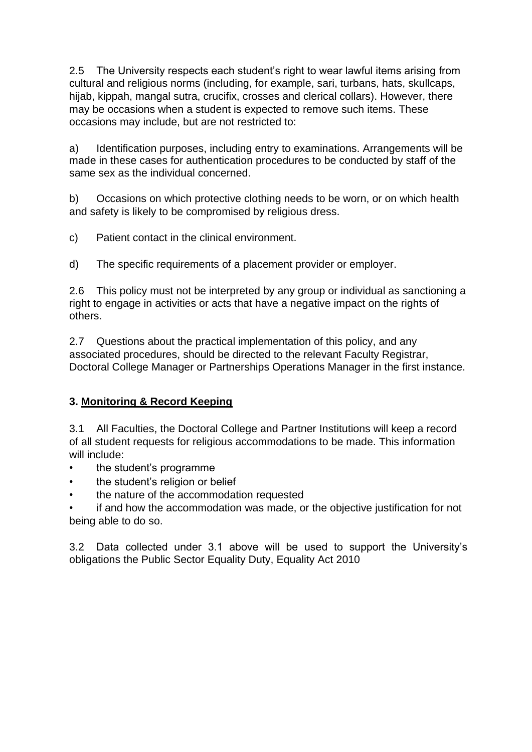2.5 The University respects each student's right to wear lawful items arising from cultural and religious norms (including, for example, sari, turbans, hats, skullcaps, hijab, kippah, mangal sutra, crucifix, crosses and clerical collars). However, there may be occasions when a student is expected to remove such items. These occasions may include, but are not restricted to:

a) Identification purposes, including entry to examinations. Arrangements will be made in these cases for authentication procedures to be conducted by staff of the same sex as the individual concerned.

b) Occasions on which protective clothing needs to be worn, or on which health and safety is likely to be compromised by religious dress.

c) Patient contact in the clinical environment.

d) The specific requirements of a placement provider or employer.

2.6 This policy must not be interpreted by any group or individual as sanctioning a right to engage in activities or acts that have a negative impact on the rights of others.

2.7 Questions about the practical implementation of this policy, and any associated procedures, should be directed to the relevant Faculty Registrar, Doctoral College Manager or Partnerships Operations Manager in the first instance.

# **3. Monitoring & Record Keeping**

3.1 All Faculties, the Doctoral College and Partner Institutions will keep a record of all student requests for religious accommodations to be made. This information will include:

- the student's programme
- the student's religion or belief
- the nature of the accommodation requested

• if and how the accommodation was made, or the objective justification for not being able to do so.

3.2 Data collected under 3.1 above will be used to support the University's obligations the Public Sector Equality Duty, Equality Act 2010